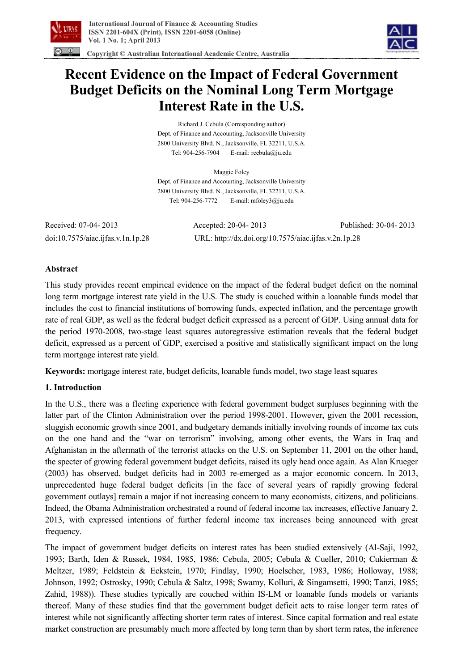

 **Copyright © Australian International Academic Centre, Australia** 



# **Recent Evidence on the Impact of Federal Government Budget Deficits on the Nominal Long Term Mortgage Interest Rate in the U.S.**

Richard J. Cebula (Corresponding author) Dept. of Finance and Accounting, Jacksonville University 2800 University Blvd. N., Jacksonville, FL 32211, U.S.A. Tel: 904-256-7904 E-mail: rcebula@ju.edu

Maggie Foley Dept. of Finance and Accounting, Jacksonville University 2800 University Blvd. N., Jacksonville, FL 32211, U.S.A. Tel: 904-256-7772 E-mail: mfoley3@ju.edu

Received: 07-04- 2013 Accepted: 20-04- 2013 Published: 30-04- 2013 doi:10.7575/aiac.ijfas.v.1n.1p.28 URL: http://dx.doi.org/10.7575/aiac.ijfas.v.2n.1p.28

## **Abstract**

This study provides recent empirical evidence on the impact of the federal budget deficit on the nominal long term mortgage interest rate yield in the U.S. The study is couched within a loanable funds model that includes the cost to financial institutions of borrowing funds, expected inflation, and the percentage growth rate of real GDP, as well as the federal budget deficit expressed as a percent of GDP. Using annual data for the period 1970-2008, two-stage least squares autoregressive estimation reveals that the federal budget deficit, expressed as a percent of GDP, exercised a positive and statistically significant impact on the long term mortgage interest rate yield.

**Keywords:** mortgage interest rate, budget deficits, loanable funds model, two stage least squares

## **1. Introduction**

In the U.S., there was a fleeting experience with federal government budget surpluses beginning with the latter part of the Clinton Administration over the period 1998-2001. However, given the 2001 recession, sluggish economic growth since 2001, and budgetary demands initially involving rounds of income tax cuts on the one hand and the "war on terrorism" involving, among other events, the Wars in Iraq and Afghanistan in the aftermath of the terrorist attacks on the U.S. on September 11, 2001 on the other hand, the specter of growing federal government budget deficits, raised its ugly head once again. As Alan Krueger (2003) has observed, budget deficits had in 2003 re-emerged as a major economic concern. In 2013, unprecedented huge federal budget deficits [in the face of several years of rapidly growing federal government outlays] remain a major if not increasing concern to many economists, citizens, and politicians. Indeed, the Obama Administration orchestrated a round of federal income tax increases, effective January 2, 2013, with expressed intentions of further federal income tax increases being announced with great frequency.

The impact of government budget deficits on interest rates has been studied extensively (Al-Saji, 1992, 1993; Barth, Iden & Russek, 1984, 1985, 1986; Cebula, 2005; Cebula & Cueller, 2010; Cukierman & Meltzer, 1989; Feldstein & Eckstein, 1970; Findlay, 1990; Hoelscher, 1983, 1986; Holloway, 1988; Johnson, 1992; Ostrosky, 1990; Cebula & Saltz, 1998; Swamy, Kolluri, & Singamsetti, 1990; Tanzi, 1985; Zahid, 1988)). These studies typically are couched within IS-LM or loanable funds models or variants thereof. Many of these studies find that the government budget deficit acts to raise longer term rates of interest while not significantly affecting shorter term rates of interest. Since capital formation and real estate market construction are presumably much more affected by long term than by short term rates, the inference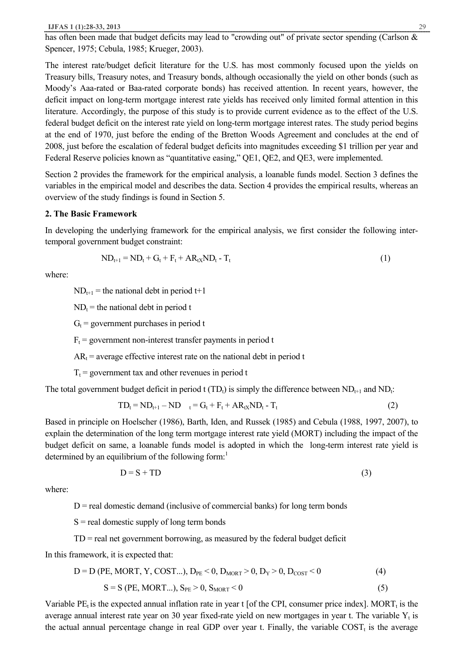has often been made that budget deficits may lead to "crowding out" of private sector spending (Carlson & Spencer, 1975; Cebula, 1985; Krueger, 2003).

The interest rate/budget deficit literature for the U.S. has most commonly focused upon the yields on Treasury bills, Treasury notes, and Treasury bonds, although occasionally the yield on other bonds (such as Moody's Aaa-rated or Baa-rated corporate bonds) has received attention. In recent years, however, the deficit impact on long-term mortgage interest rate yields has received only limited formal attention in this literature. Accordingly, the purpose of this study is to provide current evidence as to the effect of the U.S. federal budget deficit on the interest rate yield on long-term mortgage interest rates. The study period begins at the end of 1970, just before the ending of the Bretton Woods Agreement and concludes at the end of 2008, just before the escalation of federal budget deficits into magnitudes exceeding \$1 trillion per year and Federal Reserve policies known as "quantitative easing," QE1, QE2, and QE3, were implemented.

Section 2 provides the framework for the empirical analysis, a loanable funds model. Section 3 defines the variables in the empirical model and describes the data. Section 4 provides the empirical results, whereas an overview of the study findings is found in Section 5.

#### **2. The Basic Framework**

In developing the underlying framework for the empirical analysis, we first consider the following intertemporal government budget constraint:

$$
ND_{t+1} = ND_t + G_t + F_t + AR_{tX}ND_t - T_t
$$
\n
$$
(1)
$$

where:

 $ND_{t+1}$  = the national debt in period t+1

 $ND_t$  = the national debt in period t

 $G_t$  = government purchases in period t

 $F_t$  = government non-interest transfer payments in period t

 $AR_t$  = average effective interest rate on the national debt in period t

 $T_t$  = government tax and other revenues in period t

The total government budget deficit in period t (TD<sub>t</sub>) is simply the difference between  $ND_{t+1}$  and  $ND_t$ :

$$
TDt = NDt+1 - NDt = Gt + Ft + ARtXNDt - Tt
$$
\n(2)

Based in principle on Hoelscher (1986), Barth, Iden, and Russek (1985) and Cebula (1988, 1997, 2007), to explain the determination of the long term mortgage interest rate yield (MORT) including the impact of the budget deficit on same, a loanable funds model is adopted in which the long-term interest rate yield is determined by an equilibrium of the following form: $<sup>1</sup>$ </sup>

$$
D = S + TD \tag{3}
$$

where:

 $D$  = real domestic demand (inclusive of commercial banks) for long term bonds

 $S =$  real domestic supply of long term bonds

$$
TD = real net government borrowing, as measured by the federal budget deficit
$$

In this framework, it is expected that:

$$
D = D (PE, MORT, Y, COST...), D_{PE} < 0, D_{MORT} > 0, D_Y > 0, D_{COST} < 0
$$
  
\n
$$
S = S (PE, MORT...), S_{PE} > 0, S_{MORT} < 0
$$
\n(5)

Variable PE<sub>t</sub> is the expected annual inflation rate in year t [of the CPI, consumer price index]. MORT<sub>t</sub> is the average annual interest rate year on 30 year fixed-rate yield on new mortgages in year t. The variable  $Y_t$  is the actual annual percentage change in real GDP over year t. Finally, the variable  $COST_t$  is the average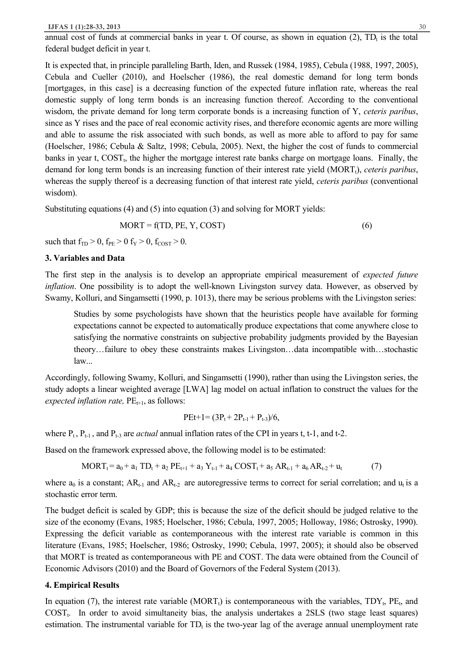#### **IJFAS 1 (1):28-33, 2013** 30

annual cost of funds at commercial banks in year t. Of course, as shown in equation  $(2)$ ,  $TD<sub>t</sub>$  is the total federal budget deficit in year t.

It is expected that, in principle paralleling Barth, Iden, and Russek (1984, 1985), Cebula (1988, 1997, 2005), Cebula and Cueller (2010), and Hoelscher (1986), the real domestic demand for long term bonds [mortgages, in this case] is a decreasing function of the expected future inflation rate, whereas the real domestic supply of long term bonds is an increasing function thereof. According to the conventional wisdom, the private demand for long term corporate bonds is a increasing function of Y, *ceteris paribus*, since as Y rises and the pace of real economic activity rises, and therefore economic agents are more willing and able to assume the risk associated with such bonds, as well as more able to afford to pay for same (Hoelscher, 1986; Cebula & Saltz, 1998; Cebula, 2005). Next, the higher the cost of funds to commercial banks in year t, COST<sub>t</sub>, the higher the mortgage interest rate banks charge on mortgage loans. Finally, the demand for long term bonds is an increasing function of their interest rate yield (MORT<sub>t</sub>), *ceteris paribus*, whereas the supply thereof is a decreasing function of that interest rate yield, *ceteris paribus* (conventional wisdom).

Substituting equations (4) and (5) into equation (3) and solving for MORT yields:

$$
MORT = f(TD, PE, Y, COST)
$$
 (6)

such that  $f_{TD} > 0$ ,  $f_{PE} > 0$   $f_{Y} > 0$ ,  $f_{COST} > 0$ .

## **3. Variables and Data**

The first step in the analysis is to develop an appropriate empirical measurement of *expected future inflation*. One possibility is to adopt the well-known Livingston survey data. However, as observed by Swamy, Kolluri, and Singamsetti (1990, p. 1013), there may be serious problems with the Livingston series:

Studies by some psychologists have shown that the heuristics people have available for forming expectations cannot be expected to automatically produce expectations that come anywhere close to satisfying the normative constraints on subjective probability judgments provided by the Bayesian theory...failure to obey these constraints makes Livingston...data incompatible with...stochastic law...

Accordingly, following Swamy, Kolluri, and Singamsetti (1990), rather than using the Livingston series, the study adopts a linear weighted average [LWA] lag model on actual inflation to construct the values for the *expected inflation rate,*  $PE_{t+1}$ , as follows:

$$
PEt+1 = (3P_t + 2P_{t-1} + P_{t-3})/6,
$$

where  $P_t$ ,  $P_{t-1}$ , and  $P_{t-3}$  are *actual* annual inflation rates of the CPI in years t, t-1, and t-2.

Based on the framework expressed above, the following model is to be estimated:

$$
MORT_t = a_0 + a_1 TD_t + a_2 PE_{t+1} + a_3 Y_{t-1} + a_4 COST_t + a_5 AR_{t-1} + a_6 AR_{t-2} + u_t
$$
 (7)

where  $a_0$  is a constant;  $AR_{t-1}$  and  $AR_{t-2}$  are autoregressive terms to correct for serial correlation; and  $u_t$  is a stochastic error term.

The budget deficit is scaled by GDP; this is because the size of the deficit should be judged relative to the size of the economy (Evans, 1985; Hoelscher, 1986; Cebula, 1997, 2005; Holloway, 1986; Ostrosky, 1990). Expressing the deficit variable as contemporaneous with the interest rate variable is common in this literature (Evans, 1985; Hoelscher, 1986; Ostrosky, 1990; Cebula, 1997, 2005); it should also be observed that MORT is treated as contemporaneous with PE and COST. The data were obtained from the Council of Economic Advisors (2010) and the Board of Governors of the Federal System (2013).

#### **4. Empirical Results**

In equation (7), the interest rate variable (MORT<sub>t</sub>) is contemporaneous with the variables,  $TDY_t$ ,  $PE_t$ , and  $COST_t$ . In order to avoid simultaneity bias, the analysis undertakes a  $2SLS$  (two stage least squares) estimation. The instrumental variable for  $TD_t$  is the two-year lag of the average annual unemployment rate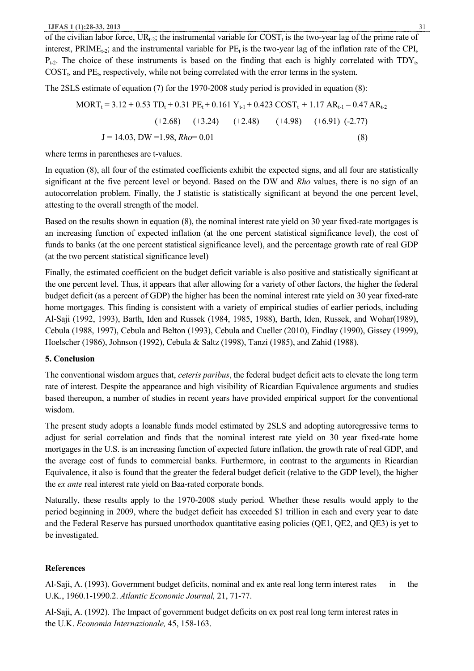of the civilian labor force,  $UR_{t-2}$ ; the instrumental variable for  $COST_t$  is the two-year lag of the prime rate of interest,  $PRIME_{t-2}$ ; and the instrumental variable for  $PE_t$  is the two-year lag of the inflation rate of the CPI,  $P_{t-2}$ . The choice of these instruments is based on the finding that each is highly correlated with TDY<sub>t</sub>,  $COST_t$ , and  $PE_t$ , respectively, while not being correlated with the error terms in the system.

The 2SLS estimate of equation (7) for the 1970-2008 study period is provided in equation (8):

 $MORT_t = 3.12 + 0.53 TD_t + 0.31 PE_t + 0.161 Y_{t-1} + 0.423 COST_t + 1.17 AR_{t-1} - 0.47 AR_{t-2}$  (+2.68) (+3.24) (+2.48) (+4.98) (+6.91) (-2.77)  $J = 14.03$ ,  $DW = 1.98$ ,  $Rho = 0.01$  (8)

where terms in parentheses are t-values.

In equation (8), all four of the estimated coefficients exhibit the expected signs, and all four are statistically significant at the five percent level or beyond. Based on the DW and *Rho* values, there is no sign of an autocorrelation problem. Finally, the J statistic is statistically significant at beyond the one percent level, attesting to the overall strength of the model.

Based on the results shown in equation (8), the nominal interest rate yield on 30 year fixed-rate mortgages is an increasing function of expected inflation (at the one percent statistical significance level), the cost of funds to banks (at the one percent statistical significance level), and the percentage growth rate of real GDP (at the two percent statistical significance level)

Finally, the estimated coefficient on the budget deficit variable is also positive and statistically significant at the one percent level. Thus, it appears that after allowing for a variety of other factors, the higher the federal budget deficit (as a percent of GDP) the higher has been the nominal interest rate yield on 30 year fixed-rate home mortgages. This finding is consistent with a variety of empirical studies of earlier periods, including Al-Saji (1992, 1993), Barth, Iden and Russek (1984, 1985, 1988), Barth, Iden, Russek, and Wohar(1989), Cebula (1988, 1997), Cebula and Belton (1993), Cebula and Cueller (2010), Findlay (1990), Gissey (1999), Hoelscher (1986), Johnson (1992), Cebula & Saltz (1998), Tanzi (1985), and Zahid (1988).

## **5. Conclusion**

The conventional wisdom argues that, *ceteris paribus*, the federal budget deficit acts to elevate the long term rate of interest. Despite the appearance and high visibility of Ricardian Equivalence arguments and studies based thereupon, a number of studies in recent years have provided empirical support for the conventional wisdom.

The present study adopts a loanable funds model estimated by 2SLS and adopting autoregressive terms to adjust for serial correlation and finds that the nominal interest rate yield on 30 year fixed-rate home mortgages in the U.S. is an increasing function of expected future inflation, the growth rate of real GDP, and the average cost of funds to commercial banks. Furthermore, in contrast to the arguments in Ricardian Equivalence, it also is found that the greater the federal budget deficit (relative to the GDP level), the higher the *ex ante* real interest rate yield on Baa-rated corporate bonds.

Naturally, these results apply to the 1970-2008 study period. Whether these results would apply to the period beginning in 2009, where the budget deficit has exceeded \$1 trillion in each and every year to date and the Federal Reserve has pursued unorthodox quantitative easing policies (QE1, QE2, and QE3) is yet to be investigated.

## **References**

Al-Saji, A. (1993). Government budget deficits, nominal and ex ante real long term interest rates in the U.K., 1960.1-1990.2. *Atlantic Economic Journal,* 21, 71-77.

Al-Saji, A. (1992). The Impact of government budget deficits on ex post real long term interest rates in the U.K. *Economia Internazionale,* 45, 158-163.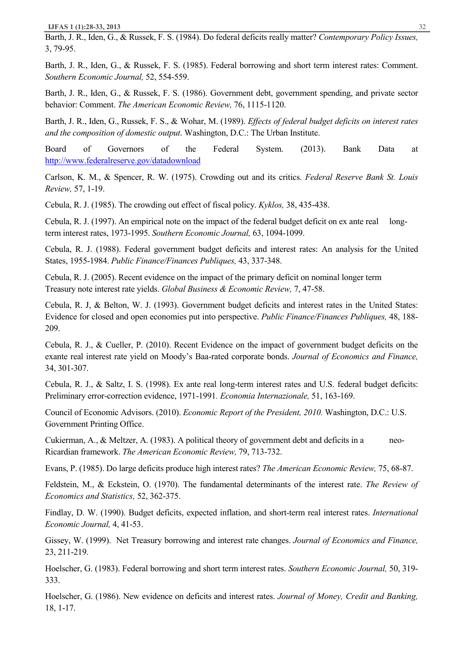**IJFAS 1 (1):28-33, 2013** 32

Barth, J. R., Iden, G., & Russek, F. S. (1984). Do federal deficits really matter? *Contemporary Policy Issues,* 3, 79-95.

Barth, J. R., Iden, G., & Russek, F. S. (1985). Federal borrowing and short term interest rates: Comment. *Southern Economic Journal,* 52, 554-559.

Barth, J. R., Iden, G., & Russek, F. S. (1986). Government debt, government spending, and private sector behavior: Comment. *The American Economic Review,* 76, 1115-1120.

Barth, J. R., Iden, G., Russek, F. S., & Wohar, M. (1989). *Effects of federal budget deficits on interest rates and the composition of domestic output*. Washington, D.C.: The Urban Institute.

Board of Governors of the Federal System. (2013). Bank Data at http://www.federalreserve.gov/datadownload

Carlson, K. M., & Spencer, R. W. (1975). Crowding out and its critics. *Federal Reserve Bank St. Louis Review,* 57, 1-19.

Cebula, R. J. (1985). The crowding out effect of fiscal policy. *Kyklos,* 38, 435-438.

Cebula, R. J. (1997). An empirical note on the impact of the federal budget deficit on ex ante real longterm interest rates, 1973-1995. *Southern Economic Journal,* 63, 1094-1099.

Cebula, R. J. (1988). Federal government budget deficits and interest rates: An analysis for the United States, 1955-1984. *Public Finance/Finances Publiques,* 43, 337-348.

Cebula, R. J. (2005). Recent evidence on the impact of the primary deficit on nominal longer term Treasury note interest rate yields. *Global Business & Economic Review,* 7, 47-58.

Cebula, R. J, & Belton, W. J. (1993). Government budget deficits and interest rates in the United States: Evidence for closed and open economies put into perspective. *Public Finance/Finances Publiques,* 48, 188- 209.

Cebula, R. J., & Cueller, P. (2010). Recent Evidence on the impact of government budget deficits on the exante real interest rate yield on Moody's Baa-rated corporate bonds. *Journal of Economics and Finance,* 34, 301-307.

Cebula, R. J., & Saltz, I. S. (1998). Ex ante real long-term interest rates and U.S. federal budget deficits: Preliminary error-correction evidence, 1971-1991*. Economia Internazionale,* 51, 163-169.

Council of Economic Advisors. (2010). *Economic Report of the President, 2010.* Washington, D.C.: U.S. Government Printing Office.

Cukierman, A., & Meltzer, A. (1983). A political theory of government debt and deficits in a neo-Ricardian framework. *The American Economic Review,* 79, 713-732.

Evans, P. (1985). Do large deficits produce high interest rates? *The American Economic Review,* 75, 68-87.

Feldstein, M., & Eckstein, O. (1970). The fundamental determinants of the interest rate. *The Review of Economics and Statistics,* 52, 362-375.

Findlay, D. W. (1990). Budget deficits, expected inflation, and short-term real interest rates. *International Economic Journal,* 4, 41-53.

Gissey, W. (1999). Net Treasury borrowing and interest rate changes. *Journal of Economics and Finance,* 23, 211-219.

Hoelscher, G. (1983). Federal borrowing and short term interest rates. *Southern Economic Journal,* 50, 319- 333.

Hoelscher, G. (1986). New evidence on deficits and interest rates. *Journal of Money, Credit and Banking,* 18, 1-17.